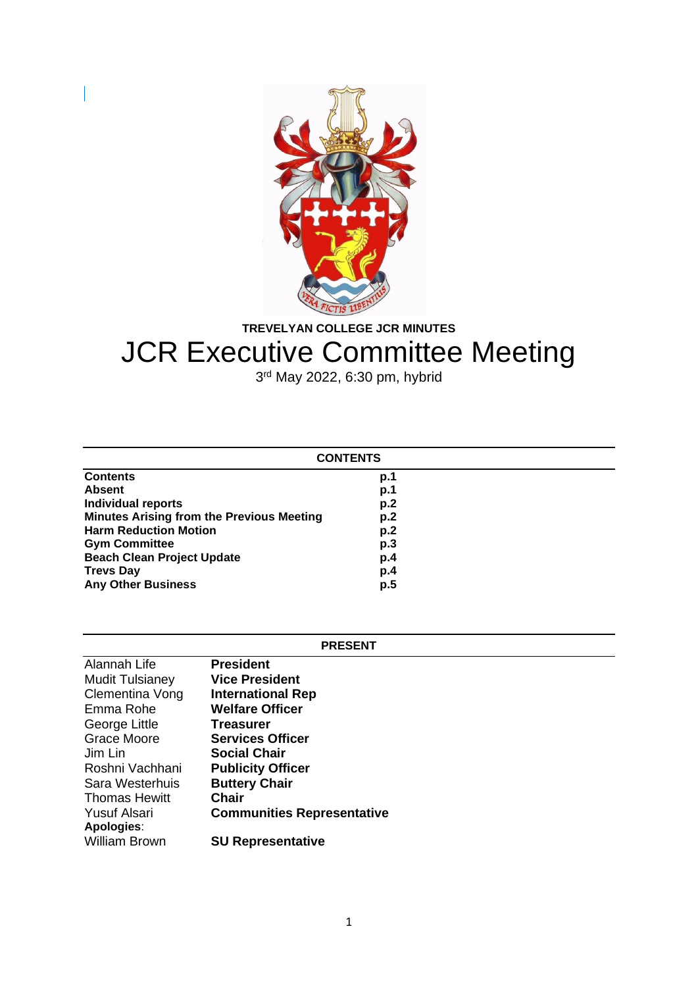

**TREVELYAN COLLEGE JCR MINUTES**

# JCR Executive Committee Meeting

3<sup>rd</sup> May 2022, 6:30 pm, hybrid

| <b>CONTENTS</b>                                  |     |  |
|--------------------------------------------------|-----|--|
| <b>Contents</b>                                  | p.1 |  |
| <b>Absent</b>                                    | p.1 |  |
| <b>Individual reports</b>                        | p.2 |  |
| <b>Minutes Arising from the Previous Meeting</b> | p.2 |  |
| <b>Harm Reduction Motion</b>                     | p.2 |  |
| <b>Gym Committee</b>                             | p.3 |  |
| <b>Beach Clean Project Update</b>                | p.4 |  |
| <b>Trevs Day</b>                                 | p.4 |  |
| <b>Any Other Business</b>                        | p.5 |  |

# **PRESENT**

| Alannah Life           | <b>President</b>                  |
|------------------------|-----------------------------------|
| <b>Mudit Tulsianey</b> | <b>Vice President</b>             |
| Clementina Vong        | <b>International Rep</b>          |
| Emma Rohe              | <b>Welfare Officer</b>            |
| George Little          | <b>Treasurer</b>                  |
| <b>Grace Moore</b>     | <b>Services Officer</b>           |
| Jim Lin                | <b>Social Chair</b>               |
| Roshni Vachhani        | <b>Publicity Officer</b>          |
| Sara Westerhuis        | <b>Buttery Chair</b>              |
| <b>Thomas Hewitt</b>   | <b>Chair</b>                      |
| Yusuf Alsari           | <b>Communities Representative</b> |
| Apologies:             |                                   |
| <b>William Brown</b>   | <b>SU Representative</b>          |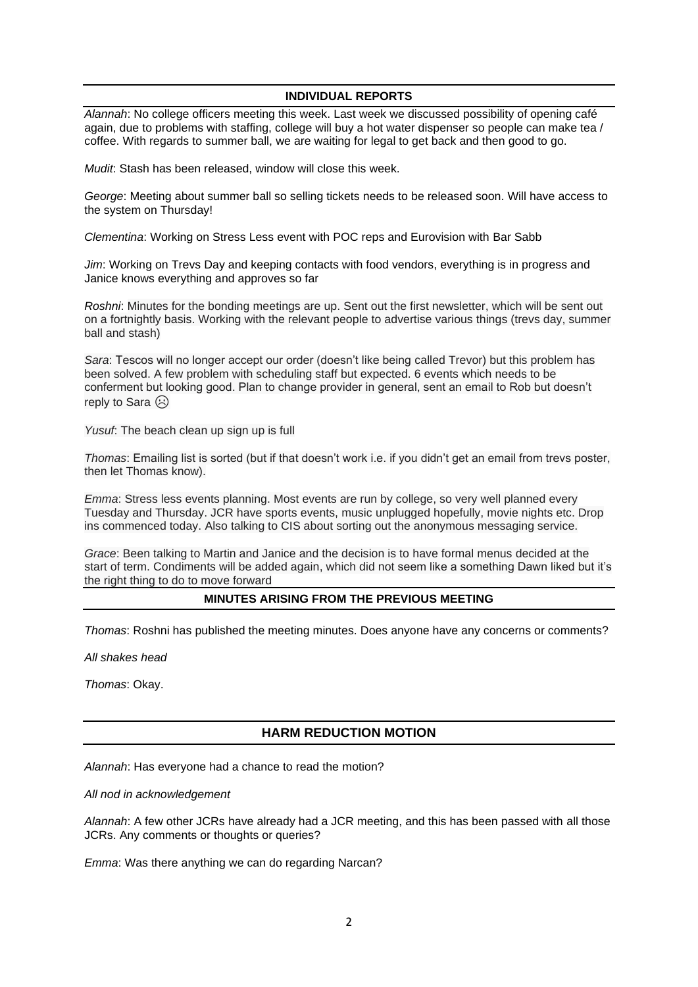### **INDIVIDUAL REPORTS**

*Alannah*: No college officers meeting this week. Last week we discussed possibility of opening café again, due to problems with staffing, college will buy a hot water dispenser so people can make tea / coffee. With regards to summer ball, we are waiting for legal to get back and then good to go.

*Mudit*: Stash has been released, window will close this week.

*George*: Meeting about summer ball so selling tickets needs to be released soon. Will have access to the system on Thursday!

*Clementina*: Working on Stress Less event with POC reps and Eurovision with Bar Sabb

*Jim*: Working on Trevs Day and keeping contacts with food vendors, everything is in progress and Janice knows everything and approves so far

*Roshni*: Minutes for the bonding meetings are up. Sent out the first newsletter, which will be sent out on a fortnightly basis. Working with the relevant people to advertise various things (trevs day, summer ball and stash)

*Sara*: Tescos will no longer accept our order (doesn't like being called Trevor) but this problem has been solved. A few problem with scheduling staff but expected. 6 events which needs to be conferment but looking good. Plan to change provider in general, sent an email to Rob but doesn't reply to Sara  $\odot$ 

*Yusuf*: The beach clean up sign up is full

*Thomas*: Emailing list is sorted (but if that doesn't work i.e. if you didn't get an email from trevs poster, then let Thomas know).

*Emma*: Stress less events planning. Most events are run by college, so very well planned every Tuesday and Thursday. JCR have sports events, music unplugged hopefully, movie nights etc. Drop ins commenced today. Also talking to CIS about sorting out the anonymous messaging service.

*Grace*: Been talking to Martin and Janice and the decision is to have formal menus decided at the start of term. Condiments will be added again, which did not seem like a something Dawn liked but it's the right thing to do to move forward

## **MINUTES ARISING FROM THE PREVIOUS MEETING**

*Thomas*: Roshni has published the meeting minutes. Does anyone have any concerns or comments?

*All shakes head*

*Thomas*: Okay.

## **HARM REDUCTION MOTION**

*Alannah*: Has everyone had a chance to read the motion?

*All nod in acknowledgement*

*Alannah*: A few other JCRs have already had a JCR meeting, and this has been passed with all those JCRs. Any comments or thoughts or queries?

*Emma*: Was there anything we can do regarding Narcan?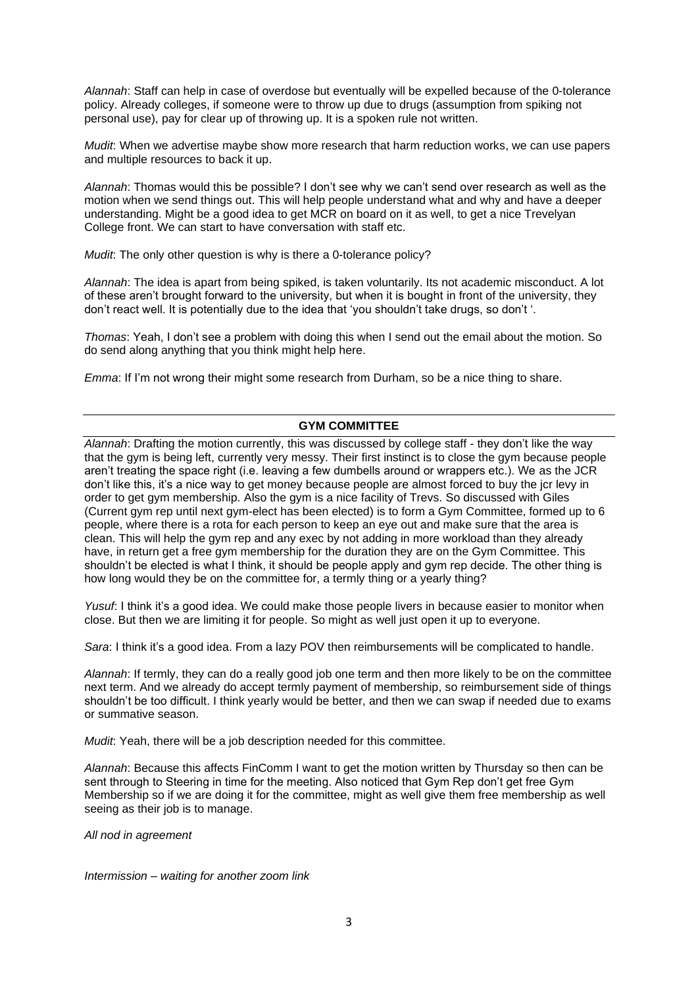*Alannah*: Staff can help in case of overdose but eventually will be expelled because of the 0-tolerance policy. Already colleges, if someone were to throw up due to drugs (assumption from spiking not personal use), pay for clear up of throwing up. It is a spoken rule not written.

*Mudit*: When we advertise maybe show more research that harm reduction works, we can use papers and multiple resources to back it up.

*Alannah*: Thomas would this be possible? I don't see why we can't send over research as well as the motion when we send things out. This will help people understand what and why and have a deeper understanding. Might be a good idea to get MCR on board on it as well, to get a nice Trevelyan College front. We can start to have conversation with staff etc.

*Mudit*: The only other question is why is there a 0-tolerance policy?

*Alannah*: The idea is apart from being spiked, is taken voluntarily. Its not academic misconduct. A lot of these aren't brought forward to the university, but when it is bought in front of the university, they don't react well. It is potentially due to the idea that 'you shouldn't take drugs, so don't '.

*Thomas*: Yeah, I don't see a problem with doing this when I send out the email about the motion. So do send along anything that you think might help here.

*Emma*: If I'm not wrong their might some research from Durham, so be a nice thing to share.

#### **GYM COMMITTEE**

*Alannah*: Drafting the motion currently, this was discussed by college staff - they don't like the way that the gym is being left, currently very messy. Their first instinct is to close the gym because people aren't treating the space right (i.e. leaving a few dumbells around or wrappers etc.). We as the JCR don't like this, it's a nice way to get money because people are almost forced to buy the jcr levy in order to get gym membership. Also the gym is a nice facility of Trevs. So discussed with Giles (Current gym rep until next gym-elect has been elected) is to form a Gym Committee, formed up to 6 people, where there is a rota for each person to keep an eye out and make sure that the area is clean. This will help the gym rep and any exec by not adding in more workload than they already have, in return get a free gym membership for the duration they are on the Gym Committee. This shouldn't be elected is what I think, it should be people apply and gym rep decide. The other thing is how long would they be on the committee for, a termly thing or a yearly thing?

*Yusuf*: I think it's a good idea. We could make those people livers in because easier to monitor when close. But then we are limiting it for people. So might as well just open it up to everyone.

*Sara*: I think it's a good idea. From a lazy POV then reimbursements will be complicated to handle.

*Alannah*: If termly, they can do a really good job one term and then more likely to be on the committee next term. And we already do accept termly payment of membership, so reimbursement side of things shouldn't be too difficult. I think yearly would be better, and then we can swap if needed due to exams or summative season.

*Mudit*: Yeah, there will be a job description needed for this committee.

*Alannah*: Because this affects FinComm I want to get the motion written by Thursday so then can be sent through to Steering in time for the meeting. Also noticed that Gym Rep don't get free Gym Membership so if we are doing it for the committee, might as well give them free membership as well seeing as their job is to manage.

*All nod in agreement*

*Intermission – waiting for another zoom link*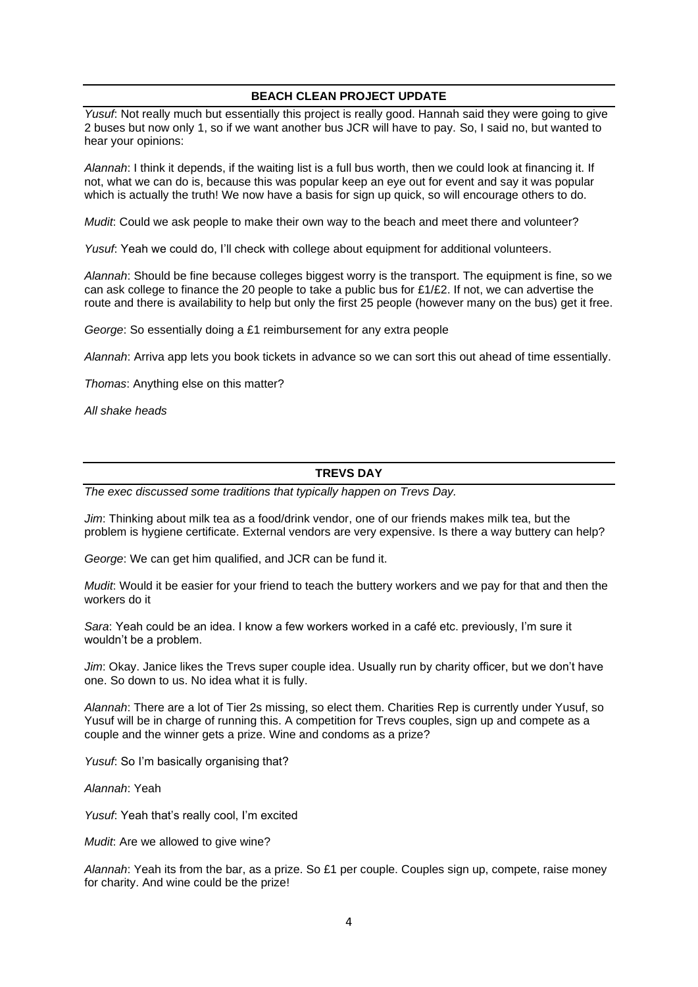## **BEACH CLEAN PROJECT UPDATE**

*Yusuf*: Not really much but essentially this project is really good. Hannah said they were going to give 2 buses but now only 1, so if we want another bus JCR will have to pay. So, I said no, but wanted to hear your opinions:

*Alannah*: I think it depends, if the waiting list is a full bus worth, then we could look at financing it. If not, what we can do is, because this was popular keep an eye out for event and say it was popular which is actually the truth! We now have a basis for sign up quick, so will encourage others to do.

*Mudit*: Could we ask people to make their own way to the beach and meet there and volunteer?

*Yusuf*: Yeah we could do, I'll check with college about equipment for additional volunteers.

*Alannah*: Should be fine because colleges biggest worry is the transport. The equipment is fine, so we can ask college to finance the 20 people to take a public bus for £1/£2. If not, we can advertise the route and there is availability to help but only the first 25 people (however many on the bus) get it free.

*George*: So essentially doing a £1 reimbursement for any extra people

*Alannah*: Arriva app lets you book tickets in advance so we can sort this out ahead of time essentially.

*Thomas*: Anything else on this matter?

*All shake heads*

# **TREVS DAY**

*The exec discussed some traditions that typically happen on Trevs Day.*

*Jim*: Thinking about milk tea as a food/drink vendor, one of our friends makes milk tea, but the problem is hygiene certificate. External vendors are very expensive. Is there a way buttery can help?

*George*: We can get him qualified, and JCR can be fund it.

*Mudit*: Would it be easier for your friend to teach the buttery workers and we pay for that and then the workers do it

*Sara*: Yeah could be an idea. I know a few workers worked in a café etc. previously, I'm sure it wouldn't be a problem.

*Jim*: Okay. Janice likes the Trevs super couple idea. Usually run by charity officer, but we don't have one. So down to us. No idea what it is fully.

*Alannah*: There are a lot of Tier 2s missing, so elect them. Charities Rep is currently under Yusuf, so Yusuf will be in charge of running this. A competition for Trevs couples, sign up and compete as a couple and the winner gets a prize. Wine and condoms as a prize?

*Yusuf*: So I'm basically organising that?

*Alannah*: Yeah

*Yusuf*: Yeah that's really cool, I'm excited

*Mudit*: Are we allowed to give wine?

*Alannah*: Yeah its from the bar, as a prize. So £1 per couple. Couples sign up, compete, raise money for charity. And wine could be the prize!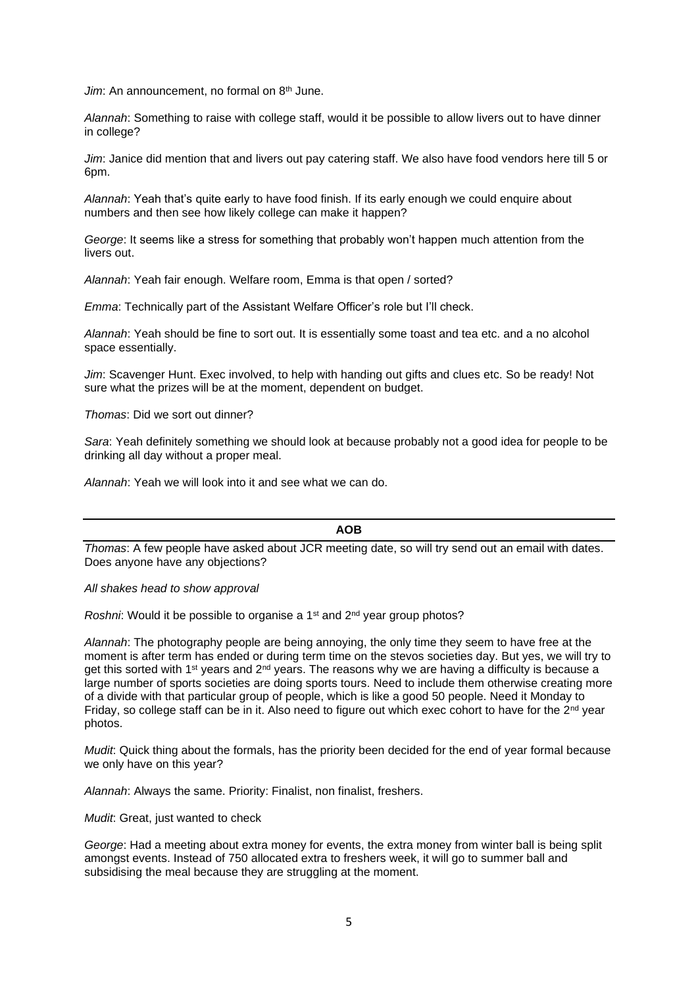*Jim*: An announcement, no formal on 8<sup>th</sup> June.

*Alannah*: Something to raise with college staff, would it be possible to allow livers out to have dinner in college?

*Jim*: Janice did mention that and livers out pay catering staff. We also have food vendors here till 5 or 6pm.

*Alannah*: Yeah that's quite early to have food finish. If its early enough we could enquire about numbers and then see how likely college can make it happen?

*George*: It seems like a stress for something that probably won't happen much attention from the livers out.

*Alannah*: Yeah fair enough. Welfare room, Emma is that open / sorted?

*Emma*: Technically part of the Assistant Welfare Officer's role but I'll check.

*Alannah*: Yeah should be fine to sort out. It is essentially some toast and tea etc. and a no alcohol space essentially.

*Jim*: Scavenger Hunt. Exec involved, to help with handing out gifts and clues etc. So be ready! Not sure what the prizes will be at the moment, dependent on budget.

*Thomas*: Did we sort out dinner?

*Sara*: Yeah definitely something we should look at because probably not a good idea for people to be drinking all day without a proper meal.

*Alannah*: Yeah we will look into it and see what we can do.

#### **AOB**

*Thomas*: A few people have asked about JCR meeting date, so will try send out an email with dates. Does anyone have any objections?

#### *All shakes head to show approval*

*Roshni*: Would it be possible to organise a 1<sup>st</sup> and 2<sup>nd</sup> year group photos?

*Alannah*: The photography people are being annoying, the only time they seem to have free at the moment is after term has ended or during term time on the stevos societies day. But yes, we will try to get this sorted with 1<sup>st</sup> years and 2<sup>nd</sup> years. The reasons why we are having a difficulty is because a large number of sports societies are doing sports tours. Need to include them otherwise creating more of a divide with that particular group of people, which is like a good 50 people. Need it Monday to Friday, so college staff can be in it. Also need to figure out which exec cohort to have for the 2<sup>nd</sup> year photos.

*Mudit*: Quick thing about the formals, has the priority been decided for the end of year formal because we only have on this year?

*Alannah*: Always the same. Priority: Finalist, non finalist, freshers.

*Mudit*: Great, just wanted to check

*George*: Had a meeting about extra money for events, the extra money from winter ball is being split amongst events. Instead of 750 allocated extra to freshers week, it will go to summer ball and subsidising the meal because they are struggling at the moment.